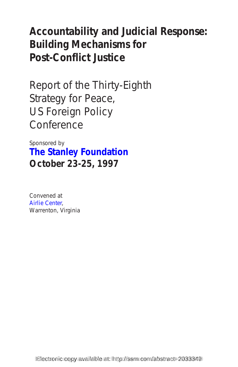# **Accountability and Judicial Response: Building Mechanisms for Post-Conflict Justice**

Report of the Thirty-Eighth Strategy for Peace, US Foreign Policy Conference

Sponsored by **[The Stanley Foundation](http://www.stanleyfdn.org) October 23-25, 1997**

Convened at [Airlie Center,](http://www.airlie.com)  Warrenton, Virginia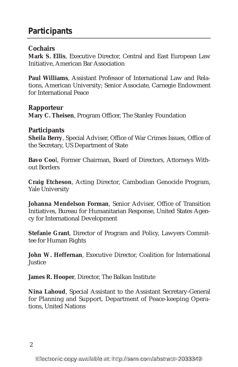# **Participants**

### **Cochairs**

**Mark S. Ellis**, Executive Director, Central and East European Law Initiative, American Bar Association

**Paul Williams**, Assistant Professor of International Law and Relations, American University; Senior Associate, Carnegie Endowment for International Peace

#### **Rapporteur**

**Mary C. Theisen**, Program Officer, The Stanley Foundation

#### **Participants**

**Sheila Berry**, Special Adviser, Office of War Crimes Issues, Office of the Secretary, US Department of State

**Bavo Coo**l, Former Chairman, Board of Directors, Attorneys Without Borders

**Craig Etcheson**, Acting Director, Cambodian Genocide Program, Yale University

**Johanna Mendelson Forman**, Senior Adviser, Office of Transition Initiatives, Bureau for Humanitarian Response, United States Agency for International Development

**Stefanie Grant**, Director of Program and Policy, Lawyers Committee for Human Rights

**John W. Heffernan**, Executive Director, Coalition for International Justice

**James R. Hooper**, Director, The Balkan Institute

**Nina Lahoud**, Special Assistant to the Assistant Secretary-General for Planning and Support, Department of Peace-keeping Operations, United Nations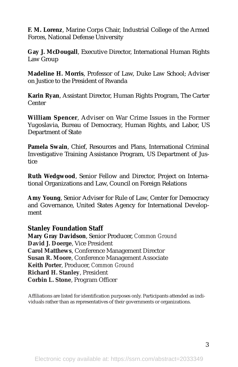**F. M. Lorenz**, Marine Corps Chair, Industrial College of the Armed Forces, National Defense University

**Gay J. McDougall**, Executive Director, International Human Rights Law Group

**Madeline H. Morris**, Professor of Law, Duke Law School; Adviser on Justice to the President of Rwanda

**Karin Ryan**, Assistant Director, Human Rights Program, The Carter Center

**William Spencer**, Adviser on War Crime Issues in the Former Yugoslavia, Bureau of Democracy, Human Rights, and Labor, US Department of State

**Pamela Swain**, Chief, Resources and Plans, International Criminal Investigative Training Assistance Program, US Department of Justice

**Ruth Wedgwood**, Senior Fellow and Director, Project on International Organizations and Law, Council on Foreign Relations

**Amy Young**, Senior Adviser for Rule of Law, Center for Democracy and Governance, United States Agency for International Development

#### **Stanley Foundation Staff**

**Mary Gray Davidson**, Senior Producer, *Common Ground* **David J. Doerge**, Vice President **Carol Matthews**, Conference Management Director **Susan R. Moore**, Conference Management Associate **Keith Porter**, Producer, *Common Ground* **Richard H. Stanley**, President **Corbin L. Stone**, Program Officer

Affiliations are listed for identification purposes only. Participants attended as individuals rather than as representatives of their governments or organizations.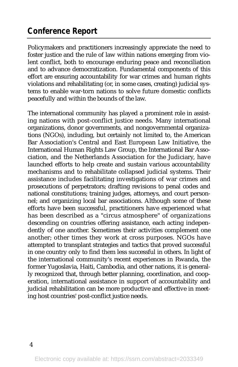# **Conference Report**

Policymakers and practitioners increasingly appreciate the need to foster justice and the rule of law within nations emerging from violent conflict, both to encourage enduring peace and reconciliation and to advance democratization. Fundamental components of this effort are ensuring accountability for war crimes and human rights violations and rehabilitating (or, in some cases, creating) judicial systems to enable war-torn nations to solve future domestic conflicts peacefully and within the bounds of the law.

The international community has played a prominent role in assisting nations with post-conflict justice needs. Many international organizations, donor governments, and nongovernmental organizations (NGOs), including, but certainly not limited to, the American Bar Association's Central and East European Law Initiative, the International Human Rights Law Group, the International Bar Association, and the Netherlands Association for the Judiciary, have launched efforts to help create and sustain various accountability mechanisms and to rehabilitate collapsed judicial systems. Their assistance includes facilitating investigations of war crimes and prosecutions of perpetrators; drafting revisions to penal codes and national constitutions; training judges, attorneys, and court personnel; and organizing local bar associations. Although some of these efforts have been successful, practitioners have experienced what has been described as a "circus atmosphere" of organizations descending on countries offering assistance, each acting independently of one another. Sometimes their activities complement one another; other times they work at cross purposes. NGOs have attempted to transplant strategies and tactics that proved successful in one country only to find them less successful in others. In light of the international community's recent experiences in Rwanda, the former Yugoslavia, Haiti, Cambodia, and other nations, it is generally recognized that, through better planning, coordination, and cooperation, international assistance in support of accountability and judicial rehabilitation can be more productive and effective in meeting host countries' post-conflict justice needs.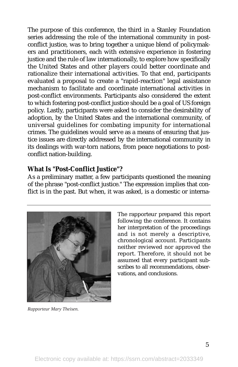The purpose of this conference, the third in a Stanley Foundation series addressing the role of the international community in postconflict justice, was to bring together a unique blend of policymakers and practitioners, each with extensive experience in fostering justice and the rule of law internationally, to explore how specifically the United States and other players could better coordinate and rationalize their international activities. To that end, participants evaluated a proposal to create a "rapid-reaction" legal assistance mechanism to facilitate and coordinate international activities in post-conflict environments. Participants also considered the extent to which fostering post-conflict justice should be a goal of US foreign policy. Lastly, participants were asked to consider the desirability of adoption, by the United States and the international community, of universal guidelines for combating impunity for international crimes. The guidelines would serve as a means of ensuring that justice issues are directly addressed by the international community in its dealings with war-torn nations, from peace negotiations to postconflict nation-building.

### **What Is "Post-Conflict Justice"?**

As a preliminary matter, a few participants questioned the meaning of the phrase "post-conflict justice." The expression implies that conflict is in the past. But when, it was asked, is a domestic or interna-



The rapporteur prepared this report following the conference. It contains her interpretation of the proceedings and is not merely a descriptive, chronological account. Participants neither reviewed nor approved the report. Therefore, it should not be assumed that every participant subscribes to all recommendations, observations, and conclusions.

*Rapporteur Mary Theisen.*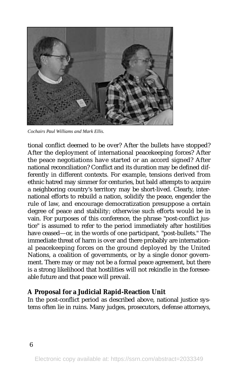

*Cochairs Paul Williams and Mark Ellis.*

tional conflict deemed to be over? After the bullets have stopped? After the deployment of international peacekeeping forces? After the peace negotiations have started or an accord signed? After national reconciliation? Conflict and its duration may be defined differently in different contexts. For example, tensions derived from ethnic hatred may simmer for centuries, but bald attempts to acquire a neighboring country's territory may be short-lived. Clearly, international efforts to rebuild a nation, solidify the peace, engender the rule of law, and encourage democratization presuppose a certain degree of peace and stability; otherwise such efforts would be in vain. For purposes of this conference, the phrase "post-conflict justice" is assumed to refer to the period immediately after hostilities have ceased—or, in the words of one participant, "post-bullets." The immediate threat of harm is over and there probably are international peacekeeping forces on the ground deployed by the United Nations, a coalition of governments, or by a single donor government. There may or may not be a formal peace agreement, but there is a strong likelihood that hostilities will not rekindle in the foreseeable future and that peace will prevail.

#### **A Proposal for a Judicial Rapid-Reaction Unit**

In the post-conflict period as described above, national justice systems often lie in ruins. Many judges, prosecutors, defense attorneys,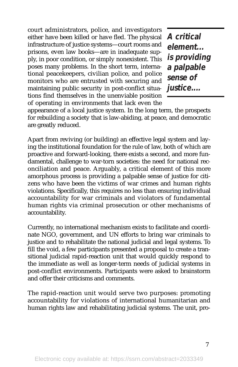court administrators, police, and investigators either have been killed or have fled. The physical infrastructure of justice systems—court rooms and prisons, even law books—are in inadequate supply, in poor condition, or simply nonexistent. This poses many problems. In the short term, international peacekeepers, civilian police, and police monitors who are entrusted with securing and maintaining public security in post-conflict situations find themselves in the unenviable position of operating in environments that lack even the

**A critical element... is providing a palpable sense of justice....**

appearance of a local justice system. In the long term, the prospects for rebuilding a society that is law-abiding, at peace, and democratic are greatly reduced.

Apart from reviving (or building) an effective legal system and laying the institutional foundation for the rule of law, both of which are proactive and forward-looking, there exists a second, and more fundamental, challenge to war-torn societies: the need for national reconciliation and peace. Arguably, a critical element of this more amorphous process is providing a palpable sense of justice for citizens who have been the victims of war crimes and human rights violations. Specifically, this requires no less than ensuring individual accountability for war criminals and violators of fundamental human rights via criminal prosecution or other mechanisms of accountability.

Currently, no international mechanism exists to facilitate and coordinate NGO, government, and UN efforts to bring war criminals to justice and to rehabilitate the national judicial and legal systems. To fill the void, a few participants presented a proposal to create a transitional judicial rapid-reaction unit that would quickly respond to the immediate as well as longer-term needs of judicial systems in post-conflict environments. Participants were asked to brainstorm and offer their criticisms and comments.

The rapid-reaction unit would serve two purposes: promoting accountability for violations of international humanitarian and human rights law and rehabilitating judicial systems. The unit, pro-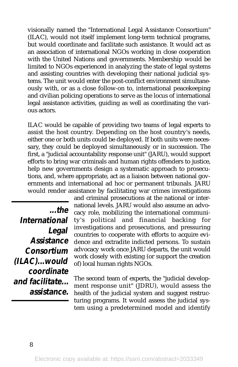visionally named the "International Legal Assistance Consortium" (ILAC), would not itself implement long-term technical programs, but would coordinate and facilitate such assistance. It would act as an association of international NGOs working in close cooperation with the United Nations and governments. Membership would be limited to NGOs experienced in analyzing the state of legal systems and assisting countries with developing their national judicial systems. The unit would enter the post-conflict environment simultaneously with, or as a close follow-on to, international peacekeeping and civilian policing operations to serve as the locus of international legal assistance activities, guiding as well as coordinating the various actors.

ILAC would be capable of providing two teams of legal experts to assist the host country. Depending on the host country's needs, either one or both units could be deployed. If both units were necessary, they could be deployed simultaneously or in succession. The first, a "judicial accountability response unit" (JARU), would support efforts to bring war criminals and human rights offenders to justice, help new governments design a systematic approach to prosecutions, and, where appropriate, act as a liaison between national governments and international ad hoc or permanent tribunals. JARU would render assistance by facilitating war crimes investigations

**...the International Legal Assistance Consortium (ILAC)...would coordinate and facilitate... assistance.**

and criminal prosecutions at the national or international levels. JARU would also assume an advocacy role, mobilizing the international community's political and financial backing for investigations and prosecutions, and pressuring countries to cooperate with efforts to acquire evidence and extradite indicted persons. To sustain advocacy work once JARU departs, the unit would work closely with existing (or support the creation of) local human rights NGOs.

The second team of experts, the "judicial development response unit" (JDRU), would assess the health of the judicial system and suggest restructuring programs. It would assess the judicial system using a predetermined model and identify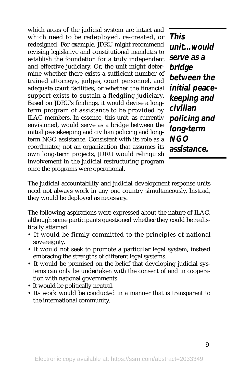which areas of the judicial system are intact and which need to be redeployed, re-created, or redesigned. For example, JDRU might recommend revising legislative and constitutional mandates to establish the foundation for a truly independent and effective judiciary. Or, the unit might determine whether there exists a sufficient number of trained attorneys, judges, court personnel, and adequate court facilities, or whether the financial support exists to sustain a fledgling judiciary. Based on JDRU's findings, it would devise a longterm program of assistance to be provided by ILAC members. In essence, this unit, as currently envisioned, would serve as a bridge between the initial peacekeeping and civilian policing and longterm NGO assistance. Consistent with its role as a coordinator, not an organization that assumes its own long-term projects, JDRU would relinquish involvement in the judicial restructuring program once the programs were operational.

**This unit...would serve as a bridge between the initial peacekeeping and civilian policing and long-term NGO assistance.** 

The judicial accountability and judicial development response units need not always work in any one country simultaneously. Instead, they would be deployed as necessary.

The following aspirations were expressed about the nature of ILAC, although some participants questioned whether they could be realistically attained:

- It would be firmly committed to the principles of national sovereignty.
- It would not seek to promote a particular legal system, instead embracing the strengths of different legal systems.
- It would be premised on the belief that developing judicial systems can only be undertaken with the consent of and in cooperation with national governments.
- It would be politically neutral.
- Its work would be conducted in a manner that is transparent to the international community.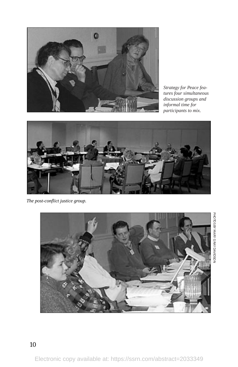

*Strategy for Peace features four simultaneous discussion groups and informal time for participants to mix.*



*The post-conflict justice group.*



PHOTOS BY MARY GRAY DAVIDSON PHOTOS BY MARY GRAY DAVIDSON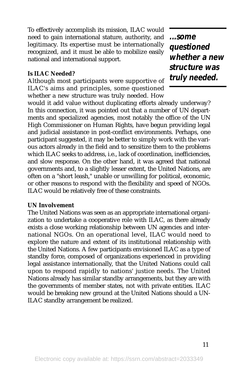To effectively accomplish its mission, ILAC would need to gain international stature, authority, and legitimacy. Its expertise must be internationally recognized, and it must be able to mobilize easily national and international support.

#### **Is ILAC Needed?**

Although most participants were supportive of ILAC's aims and principles, some questioned whether a new structure was truly needed. How

**...some questioned whether a new structure was truly needed.**

would it add value without duplicating efforts already underway? In this connection, it was pointed out that a number of UN departments and specialized agencies, most notably the office of the UN High Commissioner on Human Rights, have begun providing legal and judicial assistance in post-conflict environments. Perhaps, one participant suggested, it may be better to simply work with the various actors already in the field and to sensitize them to the problems which ILAC seeks to address, i.e., lack of coordination, inefficiencies, and slow response. On the other hand, it was agreed that national governments and, to a slightly lesser extent, the United Nations, are often on a "short leash," unable or unwilling for political, economic, or other reasons to respond with the flexibility and speed of NGOs. ILAC would be relatively free of these constraints.

#### **UN Involvement**

The United Nations was seen as an appropriate international organization to undertake a cooperative role with ILAC, as there already exists a close working relationship between UN agencies and international NGOs. On an operational level, ILAC would need to explore the nature and extent of its institutional relationship with the United Nations. A few participants envisioned ILAC as a type of standby force, composed of organizations experienced in providing legal assistance internationally, that the United Nations could call upon to respond rapidly to nations' justice needs. The United Nations already has similar standby arrangements, but they are with the governments of member states, not with private entities. ILAC would be breaking new ground at the United Nations should a UN-ILAC standby arrangement be realized.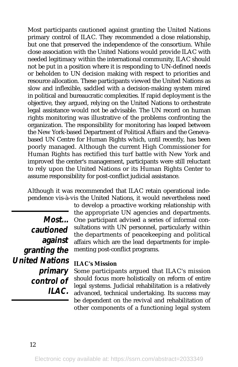Most participants cautioned against granting the United Nations primary control of ILAC. They recommended a close relationship, but one that preserved the independence of the consortium. While close association with the United Nations would provide ILAC with needed legitimacy within the international community, ILAC should not be put in a position where it is responding to UN-defined needs or beholden to UN decision making with respect to priorities and resource allocation. These participants viewed the United Nations as slow and inflexible, saddled with a decision-making system mired in political and bureaucratic complexities. If rapid deployment is the objective, they argued, relying on the United Nations to orchestrate legal assistance would not be advisable. The UN record on human rights monitoring was illustrative of the problems confronting the organization. The responsibility for monitoring has leaped between the New York-based Department of Political Affairs and the Genevabased UN Centre for Human Rights which, until recently, has been poorly managed. Although the current High Commissioner for Human Rights has rectified this turf battle with New York and improved the center's management, participants were still reluctant to rely upon the United Nations or its Human Rights Center to assume responsibility for post-conflict judicial assistance.

Although it was recommended that ILAC retain operational independence vis-à-vis the United Nations, it would nevertheless need

**Most... cautioned against granting the United Nations primary control of ILAC.** to develop a proactive working relationship with the appropriate UN agencies and departments. One participant advised a series of informal consultations with UN personnel, particularly within the departments of peacekeeping and political affairs which are the lead departments for implementing post-conflict programs.

#### **ILAC's Mission**

Some participants argued that ILAC's mission should focus more holistically on reform of entire legal systems. Judicial rehabilitation is a relatively advanced, technical undertaking. Its success may be dependent on the revival and rehabilitation of other components of a functioning legal system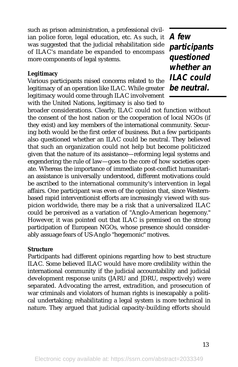such as prison administration, a professional civilian police force, legal education, etc. As such, it was suggested that the judicial rehabilitation side of ILAC's mandate be expanded to encompass more components of legal systems.

#### **Legitimacy**

Various participants raised concerns related to the legitimacy of an operation like ILAC. While greater legitimacy would come through ILAC involvement with the United Nations, legitimacy is also tied to

**A few participants questioned whether an ILAC could be neutral.** 

broader considerations. Clearly, ILAC could not function without the consent of the host nation or the cooperation of local NGOs (if they exist) and key members of the international community. Securing both would be the first order of business. But a few participants also questioned whether an ILAC could be neutral. They believed that such an organization could not help but become politicized given that the nature of its assistance—reforming legal systems and engendering the rule of law—goes to the core of how societies operate. Whereas the importance of immediate post-conflict humanitarian assistance is universally understood, different motivations could be ascribed to the international community's intervention in legal affairs. One participant was even of the opinion that, since Westernbased rapid interventionist efforts are increasingly viewed with suspicion worldwide, there may be a risk that a universalized ILAC could be perceived as a variation of "Anglo-American hegemony." However, it was pointed out that ILAC is premised on the strong participation of European NGOs, whose presence should considerably assuage fears of US-Anglo "hegemonic" motives.

#### **Structure**

Participants had different opinions regarding how to best structure ILAC. Some believed ILAC would have more credibility within the international community if the judicial accountability and judicial development response units (JARU and JDRU, respectively) were separated. Advocating the arrest, extradition, and prosecution of war criminals and violators of human rights is inescapably a political undertaking; rehabilitating a legal system is more technical in nature. They argued that judicial capacity-building efforts should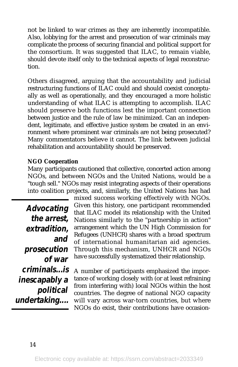not be linked to war crimes as they are inherently incompatible. Also, lobbying for the arrest and prosecution of war criminals may complicate the process of securing financial and political support for the consortium. It was suggested that ILAC, to remain viable, should devote itself only to the technical aspects of legal reconstruction.

Others disagreed, arguing that the accountability and judicial restructuring functions of ILAC could and should coexist conceptually as well as operationally, and they encouraged a more holistic understanding of what ILAC is attempting to accomplish. ILAC should preserve both functions lest the important connection between justice and the rule of law be minimized. Can an independent, legitimate, and effective justice system be created in an environment where prominent war criminals are not being prosecuted? Many commentators believe it cannot. The link between judicial rehabilitation and accountability should be preserved.

#### **NGO Cooperation**

Many participants cautioned that collective, concerted action among NGOs, and between NGOs and the United Nations, would be a "tough sell." NGOs may resist integrating aspects of their operations into coalition projects, and, similarly, the United Nations has had

**Advocating the arrest, extradition, and prosecution of war criminals...is inescapably a political undertaking....**

mixed success working effectively with NGOs. Given this history, one participant recommended that ILAC model its relationship with the United Nations similarly to the "partnership in action" arrangement which the UN High Commission for Refugees (UNHCR) shares with a broad spectrum of international humanitarian aid agencies. Through this mechanism, UNHCR and NGOs have successfully systematized their relationship.

A number of participants emphasized the importance of working closely with (or at least refraining from interfering with) local NGOs within the host countries. The degree of national NGO capacity will vary across war-torn countries, but where NGOs do exist, their contributions have occasion-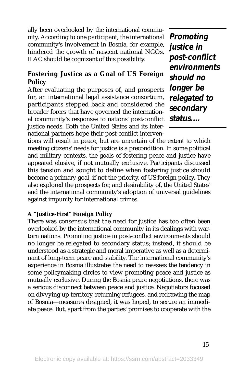ally been overlooked by the international community. According to one participant, the international community's involvement in Bosnia, for example, hindered the growth of nascent national NGOs. ILAC should be cognizant of this possibility.

## **Fostering Justice as a Goal of US Foreign Policy**

After evaluating the purposes of, and prospects for, an international legal assistance consortium, participants stepped back and considered the broader forces that have governed the international community's responses to nations' post-conflict justice needs. Both the United States and its international partners hope their post-conflict interven-

**Promoting justice in post-conflict environments should no longer be relegated to secondary status....**

tions will result in peace, but are uncertain of the extent to which meeting citizens' needs for justice is a precondition. In some political and military contexts, the goals of fostering peace and justice have appeared elusive, if not mutually exclusive. Participants discussed this tension and sought to define when fostering justice should become a primary goal, if not the priority, of US foreign policy. They also explored the prospects for, and desirability of, the United States' and the international community's adoption of universal guidelines against impunity for international crimes.

#### **A "Justice-First" Foreign Policy**

There was consensus that the need for justice has too often been overlooked by the international community in its dealings with wartorn nations. Promoting justice in post-conflict environments should no longer be relegated to secondary status; instead, it should be understood as a strategic and moral imperative as well as a determinant of long-term peace and stability. The international community's experience in Bosnia illustrates the need to reassess the tendency in some policymaking circles to view promoting peace and justice as mutually exclusive. During the Bosnia peace negotiations, there was a serious disconnect between peace and justice. Negotiators focused on divvying up territory, returning refugees, and redrawing the map of Bosnia—measures designed, it was hoped, to secure an immediate peace. But, apart from the parties' promises to cooperate with the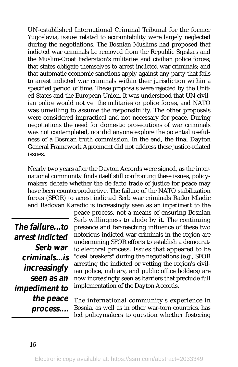UN-established International Criminal Tribunal for the former Yugoslavia, issues related to accountability were largely neglected during the negotiations. The Bosnian Muslims had proposed that indicted war criminals be removed from the Republic Srpska's and the Muslim-Croat Federation's militaries and civilian police forces; that states obligate themselves to arrest indicted war criminals; and that automatic economic sanctions apply against any party that fails to arrest indicted war criminals within their jurisdiction within a specified period of time. These proposals were rejected by the United States and the European Union. It was understood that UN civilian police would not vet the militaries or police forces, and NATO was unwilling to assume the responsibility. The other proposals were considered impractical and not necessary for peace. During negotiations the need for domestic prosecutions of war criminals was not contemplated, nor did anyone explore the potential usefulness of a Bosnian truth commission. In the end, the final Dayton General Framework Agreement did not address these justice-related issues.

Nearly two years after the Dayton Accords were signed, as the international community finds itself still confronting these issues, policymakers debate whether the de facto trade of justice for peace may have been counterproductive. The failure of the NATO stabilization forces (SFOR) to arrest indicted Serb war criminals Ratko Mladic and Radovan Karadic is increasingly seen as an *impediment* to the

**The failure...to arrest indicted Serb war criminals...is increasingly seen as an impediment to the peace process....**

peace process, not a means of ensuring Bosnian Serb willingness to abide by it. The continuing presence and far-reaching influence of these two notorious indicted war criminals in the region are undermining SFOR efforts to establish a democratic electoral process. Issues that appeared to be "deal breakers" during the negotiations (e.g., SFOR arresting the indicted or vetting the region's civilian police, military, and public office holders) are now increasingly seen as barriers that preclude full implementation of the Dayton Accords.

The international community's experience in Bosnia, as well as in other war-torn countries, has led policymakers to question whether fostering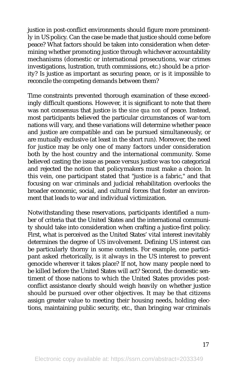justice in post-conflict environments should figure more prominently in US policy. Can the case be made that justice should come before peace? What factors should be taken into consideration when determining whether promoting justice through whichever accountability mechanisms (domestic or international prosecutions, war crimes investigations, lustration, truth commissions, etc.) should be a priority? Is justice as important as securing peace, or is it impossible to reconcile the competing demands between them?

Time constraints prevented thorough examination of these exceedingly difficult questions. However, it is significant to note that there was not consensus that justice is the *sine qua non* of peace. Instead, most participants believed the particular circumstances of war-torn nations will vary, and these variations will determine whether peace and justice are compatible and can be pursued simultaneously, or are mutually exclusive (at least in the short run). Moreover, the need for justice may be only one of many factors under consideration both by the host country and the international community. Some believed casting the issue as peace versus justice was too categorical and rejected the notion that policymakers must make a choice. In this vein, one participant stated that "justice is a fabric," and that focusing on war criminals and judicial rehabilitation overlooks the broader economic, social, and cultural forces that foster an environment that leads to war and individual victimization.

Notwithstanding these reservations, participants identified a number of criteria that the United States and the international community should take into consideration when crafting a justice-first policy. First, what is perceived as the United States' vital interest inevitably determines the degree of US involvement. Defining US interest can be particularly thorny in some contexts. For example, one participant asked rhetorically, is it always in the US interest to prevent genocide wherever it takes place? If not, how many people need to be killed before the United States will act? Second, the domestic sentiment of those nations to which the United States provides postconflict assistance clearly should weigh heavily on whether justice should be pursued over other objectives. It may be that citizens assign greater value to meeting their housing needs, holding elections, maintaining public security, etc., than bringing war criminals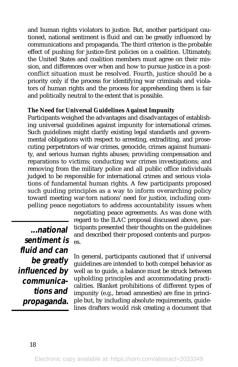and human rights violators to justice. But, another participant cautioned, national sentiment is fluid and can be greatly influenced by communications and propaganda. The third criterion is the probable effect of pushing for justice-first policies on a coalition. Ultimately, the United States and coalition members must agree on their mission, and differences over when and how to pursue justice in a postconflict situation must be resolved. Fourth, justice should be a priority only if the process for identifying war criminals and violators of human rights and the process for apprehending them is fair and politically neutral to the extent that is possible.

#### **The Need for Universal Guidelines Against Impunity**

Participants weighed the advantages and disadvantages of establishing universal guidelines against impunity for international crimes. Such guidelines might clarify existing legal standards and governmental obligations with respect to arresting, extraditing, and prosecuting perpetrators of war crimes, genocide, crimes against humanity, and serious human rights abuses; providing compensation and reparations to victims; conducting war crimes investigations; and removing from the military police and all public office individuals judged to be responsible for international crimes and serious violations of fundamental human rights. A few participants proposed such guiding principles as a way to inform overarching policy toward meeting war-torn nations' need for justice, including compelling peace negotiators to address accountability issues when

**...national sentiment is fluid and can be greatly influenced by communications and propaganda.**

negotiating peace agreements. As was done with regard to the ILAC proposal discussed above, participants presented their thoughts on the guidelines and described their proposed contents and purposes.

In general, participants cautioned that if universal guidelines are intended to both compel behavior as well as to guide, a balance must be struck between upholding principles and accommodating practicalities. Blanket prohibitions of different types of impunity (e.g., broad amnesties) are fine in principle but, by including absolute requirements, guidelines drafters would risk creating a document that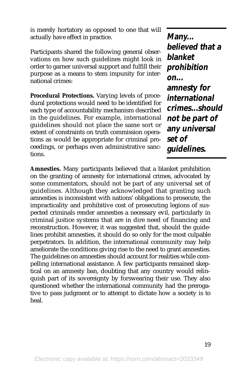is merely hortatory as opposed to one that will actually have effect in practice.

Participants shared the following general observations on how such guidelines might look in order to garner universal support and fulfill their purpose as a means to stem impunity for international crimes:

**Procedural Protections.** Varying levels of procedural protections would need to be identified for each type of accountability mechanism described in the guidelines. For example, international guidelines should not place the same sort or extent of constraints on truth commission operations as would be appropriate for criminal proceedings, or perhaps even administrative sanctions.

**Many... believed that a blanket prohibition on... amnesty for international crimes...should not be part of any universal set of guidelines.** 

**Amnesties.** Many participants believed that a blanket prohibition on the granting of amnesty for international crimes, advocated by some commentators, should not be part of any universal set of guidelines. Although they acknowledged that granting such amnesties is inconsistent with nations' obligations to prosecute, the impracticality and prohibitive cost of prosecuting legions of suspected criminals render amnesties a necessary evil, particularly in criminal justice systems that are in dire need of financing and reconstruction. However, it was suggested that, should the guidelines prohibit amnesties, it should do so only for the most culpable perpetrators. In addition, the international community may help ameliorate the conditions giving rise to the need to grant amnesties. The guidelines on amnesties should account for realities while compelling international assistance. A few participants remained skeptical on an amnesty ban, doubting that any country would relinquish part of its sovereignty by forswearing their use. They also questioned whether the international community had the prerogative to pass judgment or to attempt to dictate how a society is to heal.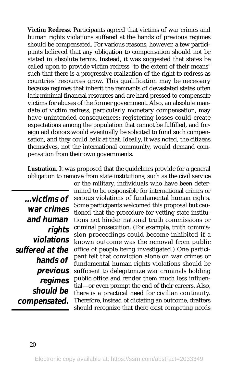**Victim Redress.** Participants agreed that victims of war crimes and human rights violations suffered at the hands of previous regimes should be compensated. For various reasons, however, a few participants believed that any obligation to compensation should not be stated in absolute terms. Instead, it was suggested that states be called upon to provide victim redress "to the extent of their means" such that there is a progressive realization of the right to redress as countries' resources grow. This qualification may be necessary because regimes that inherit the remnants of devastated states often lack minimal financial resources and are hard pressed to compensate victims for abuses of the former government. Also, an absolute mandate of victim redress, particularly monetary compensation, may have unintended consequences: registering losses could create expectations among the population that cannot be fulfilled, and foreign aid donors would eventually be solicited to fund such compensation, and they could balk at that. Ideally, it was noted, the citizens themselves, not the international community, would demand compensation from their own governments.

**Lustration.** It was proposed that the guidelines provide for a general obligation to remove from state institutions, such as the civil service

**...victims of war crimes and human rights violations suffered at the hands of previous regimes should be compensated.**

or the military, individuals who have been determined to be responsible for international crimes or serious violations of fundamental human rights. Some participants welcomed this proposal but cautioned that the procedure for vetting state institutions not hinder national truth commissions or criminal prosecution. (For example, truth commission proceedings could become inhibited if a known outcome was the removal from public office of people being investigated.) One participant felt that conviction alone on war crimes or fundamental human rights violations should be sufficient to delegitimize war criminals holding public office and render them much less influential—or even prompt the end of their careers. Also, there is a practical need for civilian continuity. Therefore, instead of dictating an outcome, drafters should recognize that there exist competing needs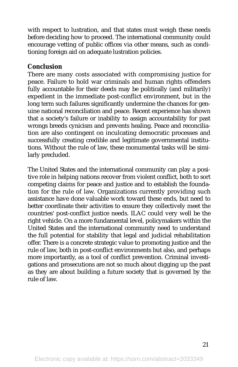with respect to lustration, and that states must weigh these needs before deciding how to proceed. The international community could encourage vetting of public offices via other means, such as conditioning foreign aid on adequate lustration policies.

## **Conclusion**

There are many costs associated with compromising justice for peace. Failure to hold war criminals and human rights offenders fully accountable for their deeds may be politically (and militarily) expedient in the immediate post-conflict environment, but in the long term such failures significantly undermine the chances for genuine national reconciliation and peace. Recent experience has shown that a society's failure or inability to assign accountability for past wrongs breeds cynicism and prevents healing. Peace and reconciliation are also contingent on inculcating democratic processes and successfully creating credible and legitimate governmental institutions. Without the rule of law, these monumental tasks will be similarly precluded.

The United States and the international community can play a positive role in helping nations recover from violent conflict, both to sort competing claims for peace and justice and to establish the foundation for the rule of law. Organizations currently providing such assistance have done valuable work toward these ends, but need to better coordinate their activities to ensure they collectively meet the countries' post-conflict justice needs. ILAC could very well be the right vehicle. On a more fundamental level, policymakers within the United States and the international community need to understand the full potential for stability that legal and judicial rehabilitation offer. There is a concrete strategic value to promoting justice and the rule of law, both in post-conflict environments but also, and perhaps more importantly, as a tool of conflict prevention. Criminal investigations and prosecutions are not so much about digging up the past as they are about building a future society that is governed by the rule of law.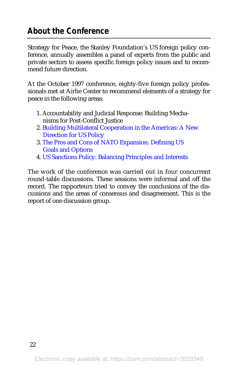# **About the Conference**

Strategy for Peace, the Stanley Foundation's US foreign policy conference, annually assembles a panel of experts from the public and private sectors to assess specific foreign policy issues and to recommend future direction.

At the October 1997 conference, eighty-five foreign policy professionals met at Airlie Center to recommend elements of a strategy for peace in the following areas:

- 1. Accountability and Judicial Response: Building Mechanisms for Post-Conflict Justice
- 2. [Building Multilateral Cooperation in the Americas: A New](http://www.stanleyfdn.org/reports/SPC97C.pdf) Direction for US Policy
- 3. [The Pros and Cons of NATO](http://www.stanleyfdn.org/reports/SPC97D.pdf) Expansion: Defining US Goals and Options
- 4. [US Sanctions Policy: Balancing Principles and Interests](http://www.stanleyfdn.org/reports/SPC97E.pdf)

The work of the conference was carried out in four concurrent round-table discussions. These sessions were informal and off the record. The rapporteurs tried to convey the conclusions of the discussions and the areas of consensus and disagreement. This is the report of one discussion group.